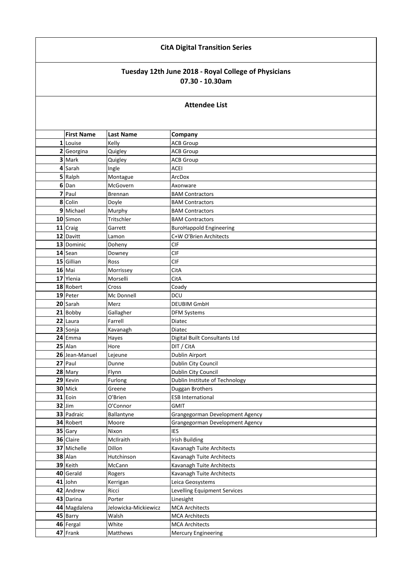## **CitA Digital Transition Series**

## **Tuesday 12th June 2018 - Royal College of Physicians 07.30 - 10.30am**

| <b>Attendee List</b> |  |
|----------------------|--|
|----------------------|--|

| <b>First Name</b> | <b>Last Name</b>     | Company                         |
|-------------------|----------------------|---------------------------------|
| 1 Louise          | Kelly                | <b>ACB Group</b>                |
| 2 Georgina        | Quigley              | <b>ACB Group</b>                |
| 3 Mark            | Quigley              | <b>ACB Group</b>                |
| 4 Sarah           | Ingle                | <b>ACEI</b>                     |
| 5 Ralph           | Montague             | ArcDox                          |
| 6 Dan             | McGovern             | Axonware                        |
| 7 Paul            | Brennan              | <b>BAM Contractors</b>          |
| 8 Colin           | Doyle                | <b>BAM Contractors</b>          |
| 9 Michael         | Murphy               | <b>BAM Contractors</b>          |
| 10 Simon          | Tritschler           | <b>BAM Contractors</b>          |
| 11 Craig          | Garrett              | <b>BuroHappold Engineering</b>  |
| 12 Davitt         | Lamon                | C+W O'Brien Architects          |
| 13 Dominic        | Doheny               | <b>CIF</b>                      |
| 14 Sean           | Downey               | <b>CIF</b>                      |
| 15 Gillian        | Ross                 | <b>CIF</b>                      |
| 16 Mai            | Morrissey            | CitA                            |
| 17 Ylenia         | Morselli             | CitA                            |
| 18 Robert         | Cross                | Coady                           |
| 19 Peter          | Mc Donnell           | DCU                             |
| 20 Sarah          | Merz                 | <b>DEUBIM GmbH</b>              |
| 21 Bobby          | Gallagher            | <b>DFM Systems</b>              |
| 22 Laura          | Farrell              | Diatec                          |
| 23 Sonja          | Kavanagh             | Diatec                          |
| 24 Emma           | Hayes                | Digital Built Consultants Ltd   |
| 25 Alan           | Hore                 | DIT / CitA                      |
| 26 Jean-Manuel    | Lejeune              | <b>Dublin Airport</b>           |
| 27 Paul           | Dunne                | Dublin City Council             |
| 28 Mary           | Flynn                | Dublin City Council             |
| 29 Kevin          | Furlong              | Dublin Institute of Technology  |
| 30 Mick           | Greene               | Duggan Brothers                 |
| 31 Eoin           | O'Brien              | <b>ESB International</b>        |
| $32$ Jim          | O'Connor             | <b>GMIT</b>                     |
| 33 Padraic        | Ballantyne           | Grangegorman Development Agency |
| 34 Robert         | Moore                | Grangegorman Development Agency |
| 35 Gary           | Nixon                | <b>IES</b>                      |
| 36 Claire         | McIlraith            | <b>Irish Building</b>           |
| 37 Michelle       | Dillon               | Kavanagh Tuite Architects       |
| 38 Alan           | Hutchinson           | Kavanagh Tuite Architects       |
| 39 Keith          | McCann               | Kavanagh Tuite Architects       |
| 40 Gerald         | Rogers               | Kavanagh Tuite Architects       |
| 41 John           | Kerrigan             | Leica Geosystems                |
| 42 Andrew         | Ricci                | Levelling Equipment Services    |
| 43 Darina         | Porter               | Linesight                       |
| 44 Magdalena      | Jelowicka-Mickiewicz | <b>MCA Architects</b>           |
| 45 Barry          | Walsh                | <b>MCA Architects</b>           |
| 46 Fergal         | White                | <b>MCA Architects</b>           |
| 47 Frank          | Matthews             | <b>Mercury Engineering</b>      |